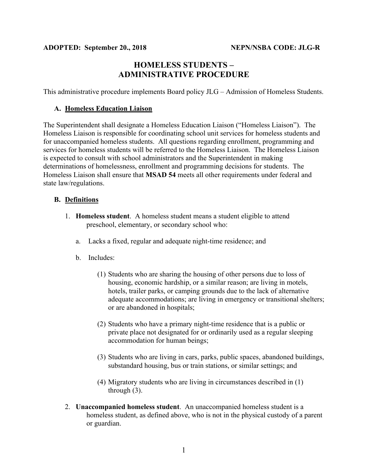# **HOMELESS STUDENTS – ADMINISTRATIVE PROCEDURE**

This administrative procedure implements Board policy JLG – Admission of Homeless Students.

#### **A. Homeless Education Liaison**

The Superintendent shall designate a Homeless Education Liaison ("Homeless Liaison"). The Homeless Liaison is responsible for coordinating school unit services for homeless students and for unaccompanied homeless students. All questions regarding enrollment, programming and services for homeless students will be referred to the Homeless Liaison. The Homeless Liaison is expected to consult with school administrators and the Superintendent in making determinations of homelessness, enrollment and programming decisions for students. The Homeless Liaison shall ensure that **MSAD 54** meets all other requirements under federal and state law/regulations.

#### **B. Definitions**

- 1. **Homeless student**. A homeless student means a student eligible to attend preschool, elementary, or secondary school who:
	- a. Lacks a fixed, regular and adequate night-time residence; and
	- b. Includes:
		- (1) Students who are sharing the housing of other persons due to loss of housing, economic hardship, or a similar reason; are living in motels, hotels, trailer parks, or camping grounds due to the lack of alternative adequate accommodations; are living in emergency or transitional shelters; or are abandoned in hospitals;
		- (2) Students who have a primary night-time residence that is a public or private place not designated for or ordinarily used as a regular sleeping accommodation for human beings;
		- (3) Students who are living in cars, parks, public spaces, abandoned buildings, substandard housing, bus or train stations, or similar settings; and
		- (4) Migratory students who are living in circumstances described in (1) through (3).
- 2. **Unaccompanied homeless student**. An unaccompanied homeless student is a homeless student, as defined above, who is not in the physical custody of a parent or guardian.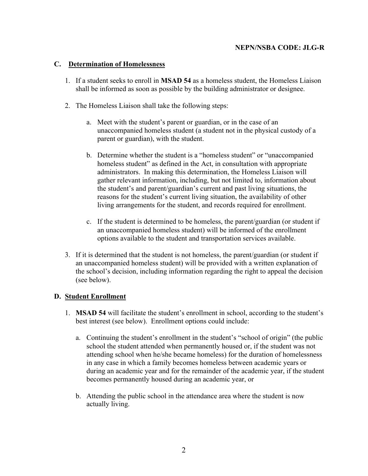### **C. Determination of Homelessness**

- 1. If a student seeks to enroll in **MSAD 54** as a homeless student, the Homeless Liaison shall be informed as soon as possible by the building administrator or designee.
- 2. The Homeless Liaison shall take the following steps:
	- a. Meet with the student's parent or guardian, or in the case of an unaccompanied homeless student (a student not in the physical custody of a parent or guardian), with the student.
	- b. Determine whether the student is a "homeless student" or "unaccompanied homeless student" as defined in the Act, in consultation with appropriate administrators. In making this determination, the Homeless Liaison will gather relevant information, including, but not limited to, information about the student's and parent/guardian's current and past living situations, the reasons for the student's current living situation, the availability of other living arrangements for the student, and records required for enrollment.
	- c. If the student is determined to be homeless, the parent/guardian (or student if an unaccompanied homeless student) will be informed of the enrollment options available to the student and transportation services available.
- 3. If it is determined that the student is not homeless, the parent/guardian (or student if an unaccompanied homeless student) will be provided with a written explanation of the school's decision, including information regarding the right to appeal the decision (see below).

## **D. Student Enrollment**

- 1. **MSAD 54** will facilitate the student's enrollment in school, according to the student's best interest (see below). Enrollment options could include:
	- a. Continuing the student's enrollment in the student's "school of origin" (the public school the student attended when permanently housed or, if the student was not attending school when he/she became homeless) for the duration of homelessness in any case in which a family becomes homeless between academic years or during an academic year and for the remainder of the academic year, if the student becomes permanently housed during an academic year, or
	- b. Attending the public school in the attendance area where the student is now actually living.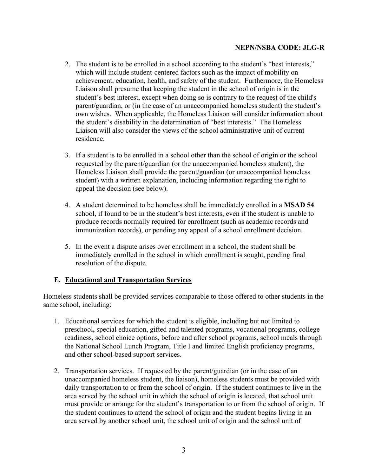- 2. The student is to be enrolled in a school according to the student's "best interests," which will include student-centered factors such as the impact of mobility on achievement, education, health, and safety of the student. Furthermore, the Homeless Liaison shall presume that keeping the student in the school of origin is in the student's best interest, except when doing so is contrary to the request of the child's parent/guardian, or (in the case of an unaccompanied homeless student) the student's own wishes. When applicable, the Homeless Liaison will consider information about the student's disability in the determination of "best interests." The Homeless Liaison will also consider the views of the school administrative unit of current residence.
- 3. If a student is to be enrolled in a school other than the school of origin or the school requested by the parent/guardian (or the unaccompanied homeless student), the Homeless Liaison shall provide the parent/guardian (or unaccompanied homeless student) with a written explanation, including information regarding the right to appeal the decision (see below).
- 4. A student determined to be homeless shall be immediately enrolled in a **MSAD 54** school, if found to be in the student's best interests, even if the student is unable to produce records normally required for enrollment (such as academic records and immunization records), or pending any appeal of a school enrollment decision.
- 5. In the event a dispute arises over enrollment in a school, the student shall be immediately enrolled in the school in which enrollment is sought, pending final resolution of the dispute.

## **E. Educational and Transportation Services**

Homeless students shall be provided services comparable to those offered to other students in the same school, including:

- 1. Educational services for which the student is eligible, including but not limited to preschool**,** special education, gifted and talented programs, vocational programs, college readiness, school choice options, before and after school programs, school meals through the National School Lunch Program, Title I and limited English proficiency programs, and other school-based support services.
- 2. Transportation services. If requested by the parent/guardian (or in the case of an unaccompanied homeless student, the liaison), homeless students must be provided with daily transportation to or from the school of origin. If the student continues to live in the area served by the school unit in which the school of origin is located, that school unit must provide or arrange for the student's transportation to or from the school of origin. If the student continues to attend the school of origin and the student begins living in an area served by another school unit, the school unit of origin and the school unit of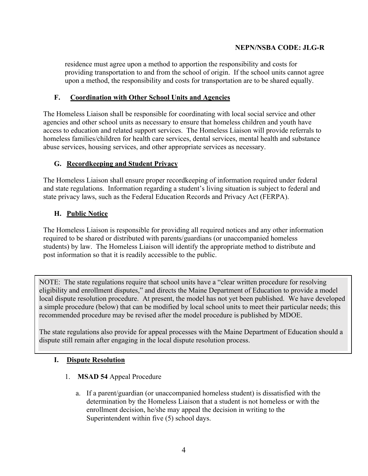residence must agree upon a method to apportion the responsibility and costs for providing transportation to and from the school of origin. If the school units cannot agree upon a method, the responsibility and costs for transportation are to be shared equally.

## **F. Coordination with Other School Units and Agencies**

The Homeless Liaison shall be responsible for coordinating with local social service and other agencies and other school units as necessary to ensure that homeless children and youth have access to education and related support services. The Homeless Liaison will provide referrals to homeless families/children for health care services, dental services, mental health and substance abuse services, housing services, and other appropriate services as necessary.

## **G. Recordkeeping and Student Privacy**

The Homeless Liaison shall ensure proper recordkeeping of information required under federal and state regulations. Information regarding a student's living situation is subject to federal and state privacy laws, such as the Federal Education Records and Privacy Act (FERPA).

## **H. Public Notice**

The Homeless Liaison is responsible for providing all required notices and any other information required to be shared or distributed with parents/guardians (or unaccompanied homeless students) by law. The Homeless Liaison will identify the appropriate method to distribute and post information so that it is readily accessible to the public.

NOTE: The state regulations require that school units have a "clear written procedure for resolving eligibility and enrollment disputes," and directs the Maine Department of Education to provide a model local dispute resolution procedure. At present, the model has not yet been published. We have developed a simple procedure (below) that can be modified by local school units to meet their particular needs; this recommended procedure may be revised after the model procedure is published by MDOE.

The state regulations also provide for appeal processes with the Maine Department of Education should a dispute still remain after engaging in the local dispute resolution process.

## **I. Dispute Resolution**

- 1. **MSAD 54** Appeal Procedure
	- a. If a parent/guardian (or unaccompanied homeless student) is dissatisfied with the determination by the Homeless Liaison that a student is not homeless or with the enrollment decision, he/she may appeal the decision in writing to the Superintendent within five (5) school days.